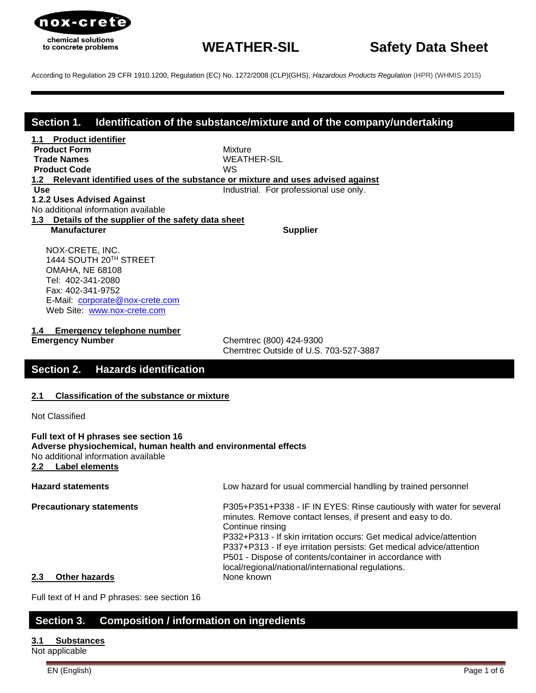

## **Section 1. Identification of the substance/mixture and of the company/undertaking**

**1.1 Product identifier Product Form** Mixture **Trade Names** WEATHER-SIL **Product Code** WS **1.2 Relevant identified uses of the substance or mixture and uses advised against Use Industrial.** For professional use only. **1**.**2.2 Uses Advised Against**

No additional information available

**1.3 Details of the supplier of the safety data sheet**

**Manufacturer Supplier** Supplier

 NOX-CRETE, INC. 1444 SOUTH 20TH STREET OMAHA, NE 68108 Tel: 402-341-2080 Fax: 402-341-9752 E-Mail: [corporate@nox-crete.com](mailto:corperate@nox-crete.com) Web Site: [www.nox-crete.com](http://www.nox-crete.com/)

**1.4 Emergency telephone number**

**Emergency Number** Chemtrec (800) 424-9300 Chemtrec Outside of U.S. 703-527-3887

## **Section 2. Hazards identification**

#### **2.1 Classification of the substance or mixture**

Not Classified

**Full text of H phrases see section 16 Adverse physiochemical, human health and environmental effects** No additional information available **2.2 Label elements**

**Hazard statements** Low hazard for usual commercial handling by trained personnel **Precautionary statements** P305+P351+P338 - IF IN EYES: Rinse cautiously with water for several minutes. Remove contact lenses, if present and easy to do. Continue rinsing P332+P313 - If skin irritation occurs: Get medical advice/attention P337+P313 - If eye irritation persists: Get medical advice/attention P501 - Dispose of contents/container in accordance with local/regional/national/international regulations. **2.3 Other hazards** None known

Full text of H and P phrases: see section 16

## **Section 3. Composition / information on ingredients**

#### **3.1 Substances**

Not applicable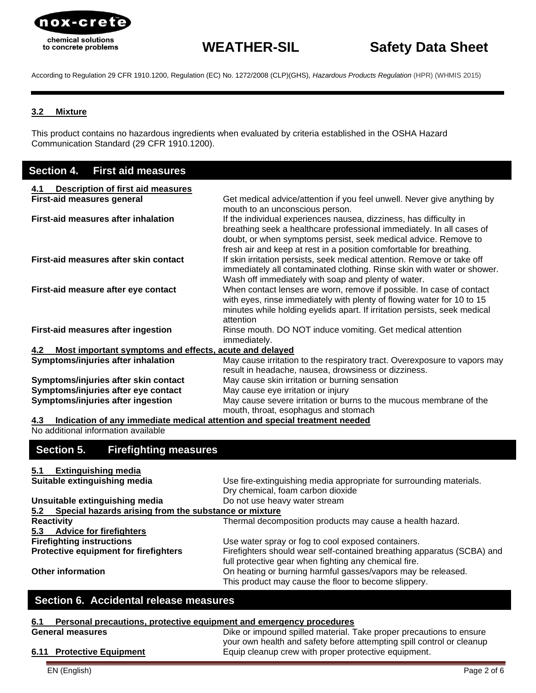

# **WEATHER-SIL Safety Data Sheet**

According to Regulation 29 CFR 1910.1200, Regulation (EC) No. 1272/2008 (CLP)(GHS), *[Hazardous Products Regulation](http://laws-lois.justice.gc.ca/eng/regulations/SOR-2015-17/index.html)* (HPR) (WHMIS 2015)

### **3.2 Mixture**

This product contains no hazardous ingredients when evaluated by criteria established in the OSHA Hazard Communication Standard (29 CFR 1910.1200).

## **Section 4. First aid measures**

| <b>Description of first aid measures</b><br>4.1               |                                                                                                                                                                                                                                                                                       |
|---------------------------------------------------------------|---------------------------------------------------------------------------------------------------------------------------------------------------------------------------------------------------------------------------------------------------------------------------------------|
| <b>First-aid measures general</b>                             | Get medical advice/attention if you feel unwell. Never give anything by<br>mouth to an unconscious person.                                                                                                                                                                            |
| First-aid measures after inhalation                           | If the individual experiences nausea, dizziness, has difficulty in<br>breathing seek a healthcare professional immediately. In all cases of<br>doubt, or when symptoms persist, seek medical advice. Remove to<br>fresh air and keep at rest in a position comfortable for breathing. |
| First-aid measures after skin contact                         | If skin irritation persists, seek medical attention. Remove or take off<br>immediately all contaminated clothing. Rinse skin with water or shower.<br>Wash off immediately with soap and plenty of water.                                                                             |
| First-aid measure after eye contact                           | When contact lenses are worn, remove if possible. In case of contact<br>with eyes, rinse immediately with plenty of flowing water for 10 to 15<br>minutes while holding eyelids apart. If irritation persists, seek medical<br>attention                                              |
| First-aid measures after ingestion                            | Rinse mouth. DO NOT induce vomiting. Get medical attention<br>immediately.                                                                                                                                                                                                            |
| Most important symptoms and effects, acute and delayed<br>4.2 |                                                                                                                                                                                                                                                                                       |
| Symptoms/injuries after inhalation                            | May cause irritation to the respiratory tract. Overexposure to vapors may<br>result in headache, nausea, drowsiness or dizziness.                                                                                                                                                     |
| Symptoms/injuries after skin contact                          | May cause skin irritation or burning sensation                                                                                                                                                                                                                                        |
| Symptoms/injuries after eye contact                           | May cause eye irritation or injury                                                                                                                                                                                                                                                    |
| Symptoms/injuries after ingestion                             | May cause severe irritation or burns to the mucous membrane of the<br>mouth, throat, esophagus and stomach                                                                                                                                                                            |

**4.3 Indication of any immediate medical attention and special treatment needed**

No additional information available

## **Section 5. Firefighting measures**

## **5.1 Extinguishing media**

| Suitable extinguishing media                              | Use fire-extinguishing media appropriate for surrounding materials.    |
|-----------------------------------------------------------|------------------------------------------------------------------------|
|                                                           | Dry chemical, foam carbon dioxide                                      |
| Unsuitable extinguishing media                            | Do not use heavy water stream                                          |
| 5.2 Special hazards arising from the substance or mixture |                                                                        |
| <b>Reactivity</b>                                         | Thermal decomposition products may cause a health hazard.              |
| 5.3 Advice for firefighters                               |                                                                        |
| <b>Firefighting instructions</b>                          | Use water spray or fog to cool exposed containers.                     |
| Protective equipment for firefighters                     | Firefighters should wear self-contained breathing apparatus (SCBA) and |
|                                                           | full protective gear when fighting any chemical fire.                  |
| <b>Other information</b>                                  | On heating or burning harmful gasses/vapors may be released.           |
|                                                           | This product may cause the floor to become slippery.                   |

## **Section 6. Accidental release measures**

## **6.1 Personal precautions, protective equipment and emergency procedures**

| <b>General measures</b>   | Dike or impound spilled material. Take proper precautions to ensure   |
|---------------------------|-----------------------------------------------------------------------|
|                           | your own health and safety before attempting spill control or cleanup |
| 6.11 Protective Equipment | Equip cleanup crew with proper protective equipment.                  |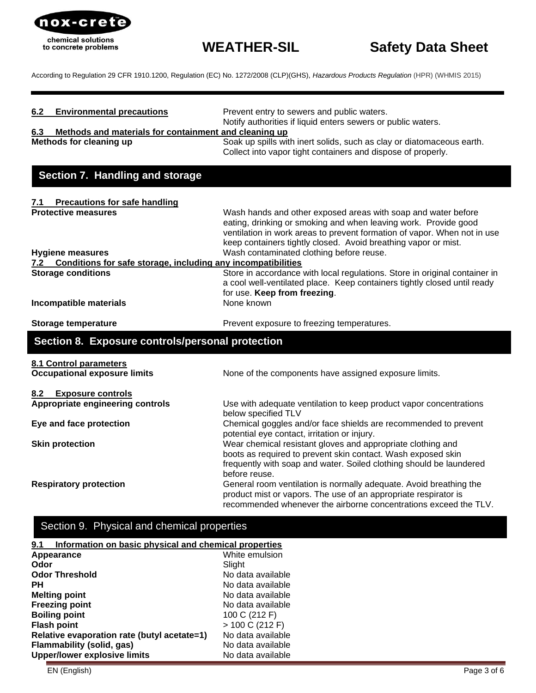

| <b>Environmental precautions</b><br>6.2     | Prevent entry to sewers and public waters.<br>Notify authorities if liquid enters sewers or public waters.                                                                                                                                                                     |
|---------------------------------------------|--------------------------------------------------------------------------------------------------------------------------------------------------------------------------------------------------------------------------------------------------------------------------------|
| 6.3                                         | Methods and materials for containment and cleaning up                                                                                                                                                                                                                          |
| Methods for cleaning up                     | Soak up spills with inert solids, such as clay or diatomaceous earth.<br>Collect into vapor tight containers and dispose of properly.                                                                                                                                          |
| Section 7. Handling and storage             |                                                                                                                                                                                                                                                                                |
| <b>Precautions for safe handling</b><br>7.1 |                                                                                                                                                                                                                                                                                |
| <b>Protective measures</b>                  | Wash hands and other exposed areas with soap and water before<br>eating, drinking or smoking and when leaving work. Provide good<br>ventilation in work areas to prevent formation of vapor. When not in use<br>keep containers tightly closed. Avoid breathing vapor or mist. |
| <b>Hygiene measures</b>                     | Wash contaminated clothing before reuse.                                                                                                                                                                                                                                       |
| 7.2                                         | Conditions for safe storage, including any incompatibilities                                                                                                                                                                                                                   |
| <b>Storage conditions</b>                   | Store in accordance with local regulations. Store in original container in<br>a cool well-ventilated place. Keep containers tightly closed until ready<br>for use. Keep from freezing.                                                                                         |
| Incompatible materials                      | None known                                                                                                                                                                                                                                                                     |
| <b>Storage temperature</b>                  | Prevent exposure to freezing temperatures.                                                                                                                                                                                                                                     |
|                                             | Section 8. Exposure controls/personal protection                                                                                                                                                                                                                               |
| 8.1 Control parameters                      |                                                                                                                                                                                                                                                                                |
| <b>Occupational exposure limits</b>         | None of the components have assigned exposure limits.                                                                                                                                                                                                                          |
| 8.2<br><b>Exposure controls</b>             |                                                                                                                                                                                                                                                                                |
| Appropriate engineering controls            | Use with adequate ventilation to keep product vapor concentrations<br>below specified TLV                                                                                                                                                                                      |
| Eye and face protection                     | Chemical goggles and/or face shields are recommended to prevent<br>potential eye contact, irritation or injury.                                                                                                                                                                |
| <b>Skin protection</b>                      | Wear chemical resistant gloves and appropriate clothing and<br>boots as required to prevent skin contact. Wash exposed skin<br>frequently with soap and water. Soiled clothing should be laundered<br>before reuse.                                                            |
| <b>Respiratory protection</b>               | General room ventilation is normally adequate. Avoid breathing the<br>product mist or vapors. The use of an appropriate respirator is<br>recommended whenever the airborne concentrations exceed the TLV.                                                                      |

## Section 9. Physical and chemical properties

| Information on basic physical and chemical properties<br>9.1 |                   |  |
|--------------------------------------------------------------|-------------------|--|
| White emulsion<br>Appearance                                 |                   |  |
| Odor                                                         | Slight            |  |
| <b>Odor Threshold</b>                                        | No data available |  |
| <b>PH</b>                                                    | No data available |  |
| <b>Melting point</b>                                         | No data available |  |
| <b>Freezing point</b>                                        | No data available |  |
| <b>Boiling point</b>                                         | 100 C (212 F)     |  |
| <b>Flash point</b>                                           | > 100 C (212 F)   |  |
| Relative evaporation rate (butyl acetate=1)                  | No data available |  |
| Flammability (solid, gas)                                    | No data available |  |
| Upper/lower explosive limits                                 | No data available |  |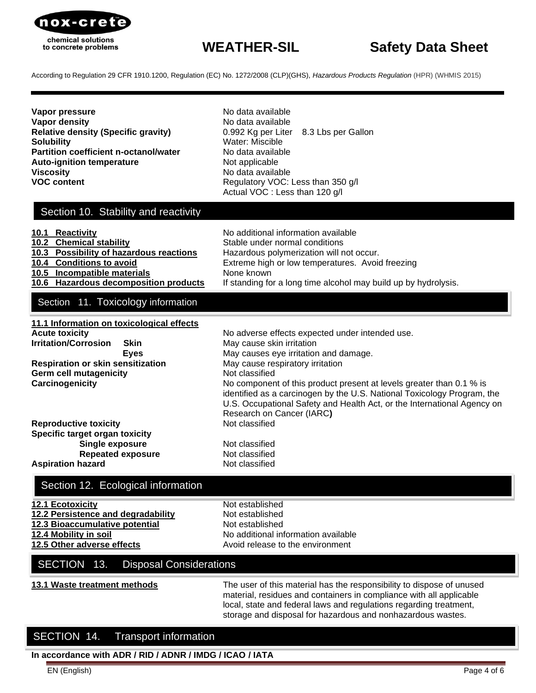

# **WEATHER-SIL Safety Data Sheet**

According to Regulation 29 CFR 1910.1200, Regulation (EC) No. 1272/2008 (CLP)(GHS), *[Hazardous Products Regulation](http://laws-lois.justice.gc.ca/eng/regulations/SOR-2015-17/index.html)* (HPR) (WHMIS 2015)

**Vapor pressure** No data available **Vapor density No data available No data available Relative density (Specific gravity)** 0.992 Kg per Liter 8.3 Lbs per Gallon **Solubility** Water: Miscible **Partition coefficient n-octanol/water** No data available **Auto-ignition temperature** Not applicable **Viscosity No data available VOC content VOC:** Less than 350 g/l

Actual VOC : Less than 120 g/l

## Section 10. Stability and reactivity

| 10.1 Reactivity                         | No additional information available                             |
|-----------------------------------------|-----------------------------------------------------------------|
| 10.2 Chemical stability                 | Stable under normal conditions                                  |
| 10.3 Possibility of hazardous reactions | Hazardous polymerization will not occur.                        |
| 10.4 Conditions to avoid                | Extreme high or low temperatures. Avoid freezing                |
| 10.5 Incompatible materials             | None known                                                      |
| 10.6 Hazardous decomposition products   | If standing for a long time alcohol may build up by hydrolysis. |
|                                         |                                                                 |

## Section 11. Toxicology information

| 11.1 Information on toxicological effects |                                                                         |
|-------------------------------------------|-------------------------------------------------------------------------|
| <b>Acute toxicity</b>                     | No adverse effects expected under intended use.                         |
| <b>Irritation/Corrosion</b><br>Skin       | May cause skin irritation                                               |
| <b>Eves</b>                               | May causes eye irritation and damage.                                   |
| <b>Respiration or skin sensitization</b>  | May cause respiratory irritation                                        |
| <b>Germ cell mutagenicity</b>             | Not classified                                                          |
| Carcinogenicity                           | No component of this product present at levels greater than 0.1 % is    |
|                                           | identified as a carcinogen by the U.S. National Toxicology Program, the |
|                                           | U.S. Occupational Safety and Health Act, or the International Agency on |
|                                           | Research on Cancer (IARC)                                               |
| <b>Reproductive toxicity</b>              | Not classified                                                          |
| Specific target organ toxicity            |                                                                         |
| Single exposure                           | Not classified                                                          |
| <b>Repeated exposure</b>                  | Not classified                                                          |
| <b>Aspiration hazard</b>                  | Not classified                                                          |

## Section 12. Ecological information

| <b>12.1 Ecotoxicity</b>            | Not established                     |
|------------------------------------|-------------------------------------|
| 12.2 Persistence and degradability | Not established                     |
| 12.3 Bioaccumulative potential     | Not established                     |
| 12.4 Mobility in soil              | No additional information available |
| 12.5 Other adverse effects         | Avoid release to the environment    |
|                                    |                                     |

## SECTION 13. Disposal Considerations

**13.1 Waste treatment methods** The user of this material has the responsibility to dispose of unused material, residues and containers in compliance with all applicable local, state and federal laws and regulations regarding treatment, storage and disposal for hazardous and nonhazardous wastes.

## SECTION 14. Transport information

**In accordance with ADR / RID / ADNR / IMDG / ICAO / IATA**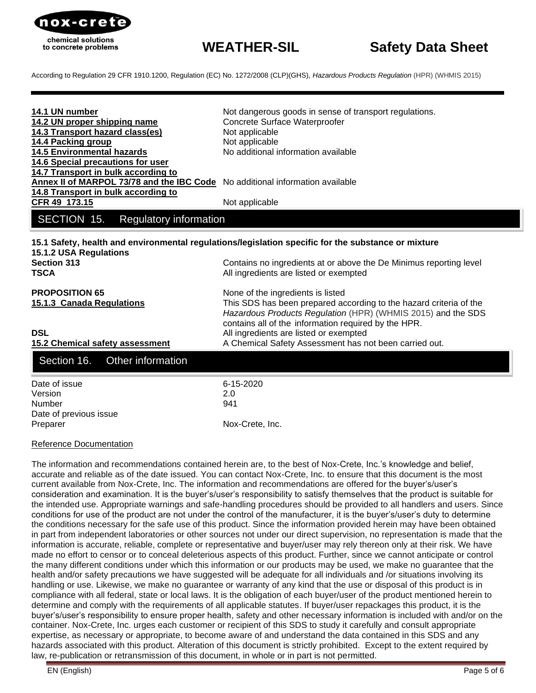

| 14.1 UN number<br>14.2 UN proper shipping name<br>14.3 Transport hazard class(es)<br>14.4 Packing group<br><b>14.5 Environmental hazards</b><br>14.6 Special precautions for user | Not dangerous goods in sense of transport regulations.<br>Concrete Surface Waterproofer<br>Not applicable<br>Not applicable<br>No additional information available                                                              |
|-----------------------------------------------------------------------------------------------------------------------------------------------------------------------------------|---------------------------------------------------------------------------------------------------------------------------------------------------------------------------------------------------------------------------------|
| 14.7 Transport in bulk according to<br>Annex II of MARPOL 73/78 and the IBC Code No additional information available<br>14.8 Transport in bulk according to<br>CFR 49 173.15      | Not applicable                                                                                                                                                                                                                  |
| SECTION 15.<br><b>Regulatory information</b>                                                                                                                                      |                                                                                                                                                                                                                                 |
| 15.1.2 USA Regulations<br><b>Section 313</b><br><b>TSCA</b>                                                                                                                       | 15.1 Safety, health and environmental regulations/legislation specific for the substance or mixture<br>Contains no ingredients at or above the De Minimus reporting level<br>All ingredients are listed or exempted             |
| <b>PROPOSITION 65</b><br>15.1.3 Canada Regulations                                                                                                                                | None of the ingredients is listed<br>This SDS has been prepared according to the hazard criteria of the<br>Hazardous Products Regulation (HPR) (WHMIS 2015) and the SDS<br>contains all of the information required by the HPR. |
| <b>DSL</b><br>15.2 Chemical safety assessment                                                                                                                                     | All ingredients are listed or exempted<br>A Chemical Safety Assessment has not been carried out.                                                                                                                                |
| Other information<br>Section 16.                                                                                                                                                  |                                                                                                                                                                                                                                 |
| Date of issue<br>Version<br><b>Number</b><br>Date of previous issue<br>Preparer                                                                                                   | 6-15-2020<br>2.0<br>941<br>Nox-Crete, Inc.                                                                                                                                                                                      |

#### Reference Documentation

The information and recommendations contained herein are, to the best of Nox-Crete, Inc.'s knowledge and belief, accurate and reliable as of the date issued. You can contact Nox-Crete, Inc. to ensure that this document is the most current available from Nox-Crete, Inc. The information and recommendations are offered for the buyer's/user's consideration and examination. It is the buyer's/user's responsibility to satisfy themselves that the product is suitable for the intended use. Appropriate warnings and safe-handling procedures should be provided to all handlers and users. Since conditions for use of the product are not under the control of the manufacturer, it is the buyer's/user's duty to determine the conditions necessary for the safe use of this product. Since the information provided herein may have been obtained in part from independent laboratories or other sources not under our direct supervision, no representation is made that the information is accurate, reliable, complete or representative and buyer/user may rely thereon only at their risk. We have made no effort to censor or to conceal deleterious aspects of this product. Further, since we cannot anticipate or control the many different conditions under which this information or our products may be used, we make no guarantee that the health and/or safety precautions we have suggested will be adequate for all individuals and /or situations involving its handling or use. Likewise, we make no guarantee or warranty of any kind that the use or disposal of this product is in compliance with all federal, state or local laws. It is the obligation of each buyer/user of the product mentioned herein to determine and comply with the requirements of all applicable statutes. If buyer/user repackages this product, it is the buyer's/user's responsibility to ensure proper health, safety and other necessary information is included with and/or on the container. Nox-Crete, Inc. urges each customer or recipient of this SDS to study it carefully and consult appropriate expertise, as necessary or appropriate, to become aware of and understand the data contained in this SDS and any hazards associated with this product. Alteration of this document is strictly prohibited. Except to the extent required by law, re-publication or retransmission of this document, in whole or in part is not permitted.